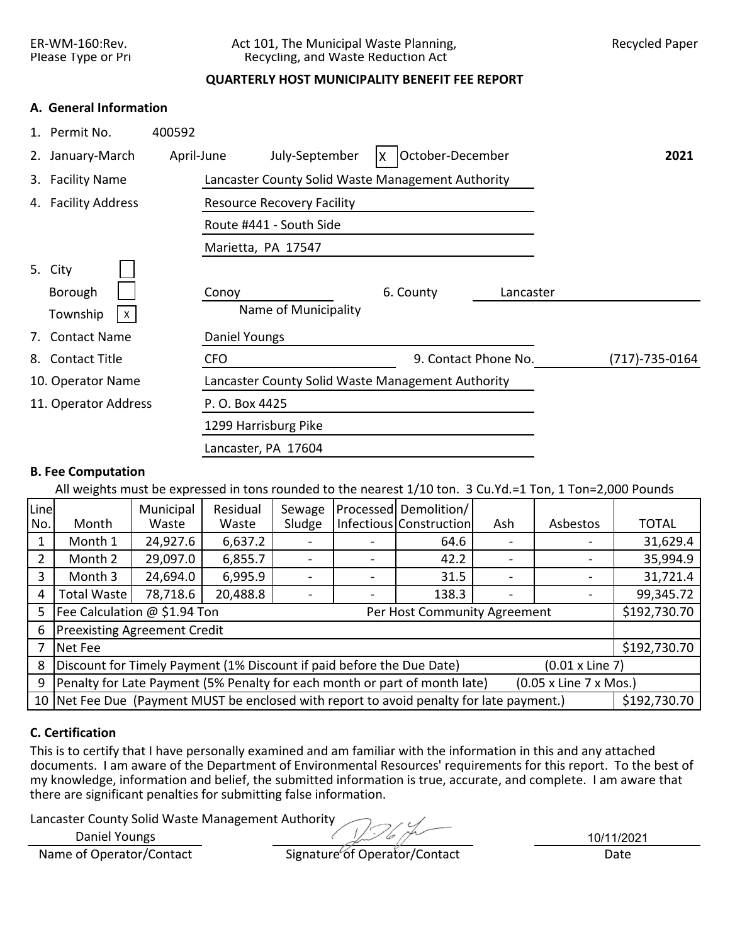## ER-WM-160:Rev. Act 101, The Municipal Waste Planning, Recycled Paper Please Type or Pri Recycling, and Waste Reduction Act

## **QUARTERLY HOST MUNICIPALITY BENEFIT FEE REPORT**

### **A. General Information**

|    | 1. Permit No.            | 400592                                                  |                |
|----|--------------------------|---------------------------------------------------------|----------------|
|    | 2. January-March         | October-December<br>July-September<br>April-June<br>ΙX. | 2021           |
|    | 3. Facility Name         | Lancaster County Solid Waste Management Authority       |                |
|    | 4. Facility Address      | <b>Resource Recovery Facility</b>                       |                |
|    |                          | Route #441 - South Side                                 |                |
|    |                          | Marietta, PA 17547                                      |                |
|    | 5. City                  |                                                         |                |
|    | Borough                  | 6. County<br>Conoy<br>Lancaster                         |                |
|    | Township<br>$\mathsf{X}$ | Name of Municipality                                    |                |
|    | 7. Contact Name          | Daniel Youngs                                           |                |
| 8. | <b>Contact Title</b>     | 9. Contact Phone No.<br><b>CFO</b>                      | (717)-735-0164 |
|    | 10. Operator Name        | Lancaster County Solid Waste Management Authority       |                |
|    | 11. Operator Address     | P. O. Box 4425                                          |                |
|    |                          | 1299 Harrisburg Pike                                    |                |
|    |                          | Lancaster, PA 17604                                     |                |
|    |                          |                                                         |                |

# **B. Fee Computation**

All weights must be expressed in tons rounded to the nearest 1/10 ton. 3 Cu.Yd.=1 Ton, 1 Ton=2,000 Pounds

| Line<br>No. | Month                                                                 | Municipal<br>Waste | Residual<br>Waste | Sewage<br>Sludge |  | Processed Demolition/<br>Infectious Construction                                         | Ash | Asbestos               | <b>TOTAL</b> |  |
|-------------|-----------------------------------------------------------------------|--------------------|-------------------|------------------|--|------------------------------------------------------------------------------------------|-----|------------------------|--------------|--|
|             | Month 1                                                               | 24,927.6           | 6,637.2           |                  |  | 64.6                                                                                     |     |                        | 31,629.4     |  |
|             | 29,097.0<br>6,855.7<br>42.2<br>Month 2                                |                    |                   |                  |  |                                                                                          |     |                        |              |  |
| 3           | Month 3                                                               | 24,694.0           | 6,995.9           |                  |  | 31.5                                                                                     |     |                        | 31,721.4     |  |
| 4           | 78,718.6<br>20,488.8<br><b>Total Waste</b><br>138.3                   |                    |                   |                  |  |                                                                                          |     |                        |              |  |
| 5           | Fee Calculation @ \$1.94 Ton                                          |                    |                   |                  |  | Per Host Community Agreement                                                             |     |                        | \$192,730.70 |  |
| 6           | <b>Preexisting Agreement Credit</b>                                   |                    |                   |                  |  |                                                                                          |     |                        |              |  |
|             | Net Fee                                                               |                    |                   |                  |  |                                                                                          |     |                        | \$192,730.70 |  |
| 8           | Discount for Timely Payment (1% Discount if paid before the Due Date) |                    |                   |                  |  |                                                                                          |     | $(0.01 \times$ Line 7) |              |  |
| 9           |                                                                       |                    |                   |                  |  | Penalty for Late Payment (5% Penalty for each month or part of month late)               |     | (0.05 x Line 7 x Mos.) |              |  |
|             |                                                                       |                    |                   |                  |  | 10 Net Fee Due (Payment MUST be enclosed with report to avoid penalty for late payment.) |     |                        | \$192,730.70 |  |

## **C. Certification**

This is to certify that I have personally examined and am familiar with the information in this and any attached documents. I am aware of the Department of Environmental Resources' requirements for this report. To the best of my knowledge, information and belief, the submitted information is true, accurate, and complete. I am aware that there are significant penalties for submitting false information.

Lancaster County Solid Waste Management Authority

Daniel Youngs

10/11/2021

Name of Operator/Contact Signature of Operator/Contact Date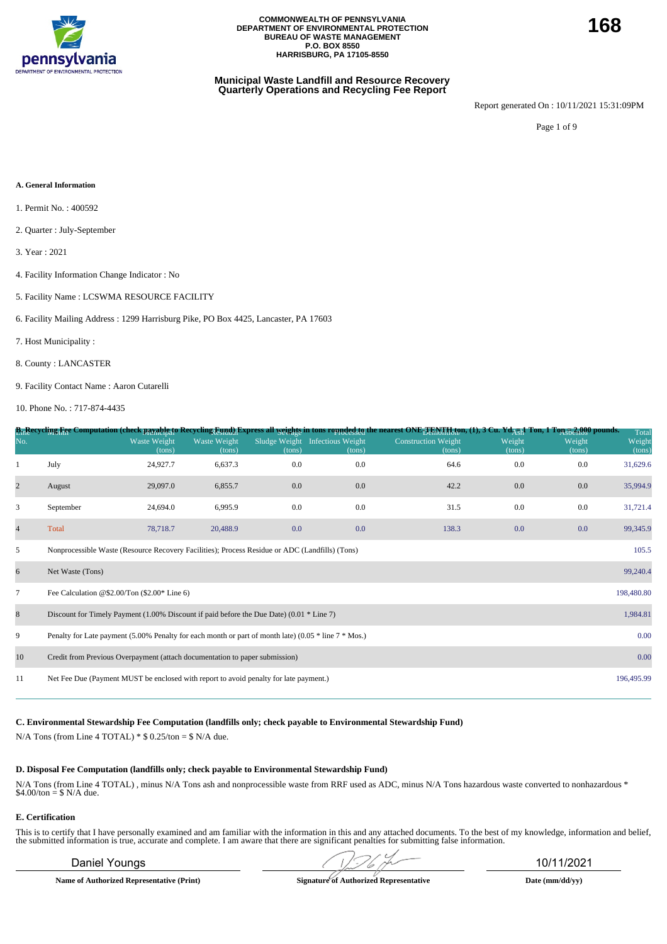

### **Municipal Waste Landfill and Resource Recovery Quarterly Operations and Recycling Fee Report**

Report generated On : 10/11/2021 15:31:09PM

Page 1 of 9

#### **A. General Information**

- 1. Permit No. : 400592
- 2. Quarter : July-September
- 3. Year : 2021
- 4. Facility Information Change Indicator : No
- 5. Facility Name : LCSWMA RESOURCE FACILITY
- 6. Facility Mailing Address : 1299 Harrisburg Pike, PO Box 4425, Lancaster, PA 17603
- 7. Host Municipality :
- 8. County : LANCASTER
- 9. Facility Contact Name : Aaron Cutarelli
- 10. Phone No. : 717-874-4435

|                |                                                                                                          |                               |                        |        |                                           | B <sub>11</sub> Recycling Fee Computation (check payable to Recycling Eynd) Express all <u>weights</u> in tons rounded to nearest ONE <sub>T En</sub> y Haton, (1), 3 Cu. Yd <sub>AUI</sub> Ton, 1 Ton 52,000 pounds. |                  |                  | Total            |
|----------------|----------------------------------------------------------------------------------------------------------|-------------------------------|------------------------|--------|-------------------------------------------|-----------------------------------------------------------------------------------------------------------------------------------------------------------------------------------------------------------------------|------------------|------------------|------------------|
| No.            |                                                                                                          | <b>Waste Weight</b><br>(tons) | Waste Weight<br>(tons) | (tons) | Sludge Weight Infectious Weight<br>(tons) | <b>Construction Weight</b><br>(tons)                                                                                                                                                                                  | Weight<br>(tons) | Weight<br>(tons) | Weight<br>(tons) |
| 1              | July                                                                                                     | 24,927.7                      | 6,637.3                | 0.0    | 0.0                                       | 64.6                                                                                                                                                                                                                  | 0.0              | 0.0              | 31,629.6         |
| $\overline{c}$ | August                                                                                                   | 29,097.0                      | 6,855.7                | 0.0    | $0.0\,$                                   | 42.2                                                                                                                                                                                                                  | 0.0              | 0.0              | 35,994.9         |
| 3              | September                                                                                                | 24,694.0                      | 6,995.9                | 0.0    | 0.0                                       | 31.5                                                                                                                                                                                                                  | 0.0              | 0.0              | 31,721.4         |
| $\overline{4}$ | Total                                                                                                    | 78,718.7                      | 20,488.9               | 0.0    | 0.0                                       | 138.3                                                                                                                                                                                                                 | 0.0              | 0.0              | 99,345.9         |
| 5              | Nonprocessible Waste (Resource Recovery Facilities); Process Residue or ADC (Landfills) (Tons)           |                               |                        |        |                                           |                                                                                                                                                                                                                       |                  |                  | 105.5            |
| 6              | Net Waste (Tons)                                                                                         |                               |                        |        |                                           |                                                                                                                                                                                                                       |                  |                  | 99,240.4         |
| $\tau$         | Fee Calculation @\$2.00/Ton $(\$2.00*$ Line 6)                                                           |                               |                        |        |                                           |                                                                                                                                                                                                                       |                  |                  | 198,480.80       |
| 8              | Discount for Timely Payment $(1.00\%$ Discount if paid before the Due Date) $(0.01 * Line 7)$            |                               |                        |        |                                           |                                                                                                                                                                                                                       |                  |                  | 1,984.81         |
| 9              | Penalty for Late payment (5.00% Penalty for each month or part of month late) (0.05 $*$ line 7 $*$ Mos.) |                               |                        |        |                                           |                                                                                                                                                                                                                       |                  |                  | 0.00             |
| 10             | Credit from Previous Overpayment (attach documentation to paper submission)                              |                               |                        |        |                                           |                                                                                                                                                                                                                       |                  |                  | 0.00             |
| 11             | Net Fee Due (Payment MUST be enclosed with report to avoid penalty for late payment.)                    |                               |                        |        |                                           |                                                                                                                                                                                                                       |                  |                  | 196,495.99       |
|                |                                                                                                          |                               |                        |        |                                           |                                                                                                                                                                                                                       |                  |                  |                  |

**C. Environmental Stewardship Fee Computation (landfills only; check payable to Environmental Stewardship Fund)**

N/A Tons (from Line 4 TOTAL)  $*$  \$ 0.25/ton = \$ N/A due.

#### **D. Disposal Fee Computation (landfills only; check payable to Environmental Stewardship Fund)**

N/A Tons (from Line 4 TOTAL) , minus N/A Tons ash and nonprocessible waste from RRF used as ADC, minus N/A Tons hazardous waste converted to nonhazardous \* \$4.00/ton = \$ N/A due.

### **E. Certification**

This is to certify that I have personally examined and am familiar with the information in this and any attached documents. To the best of my knowledge, information and belief, the submitted information is true, accurate a

**Name of Authorized Representative (Print) Signature of Authorized Representative Date (mm/dd/yy)**

Daniel Youngs 10/11/2021

**168**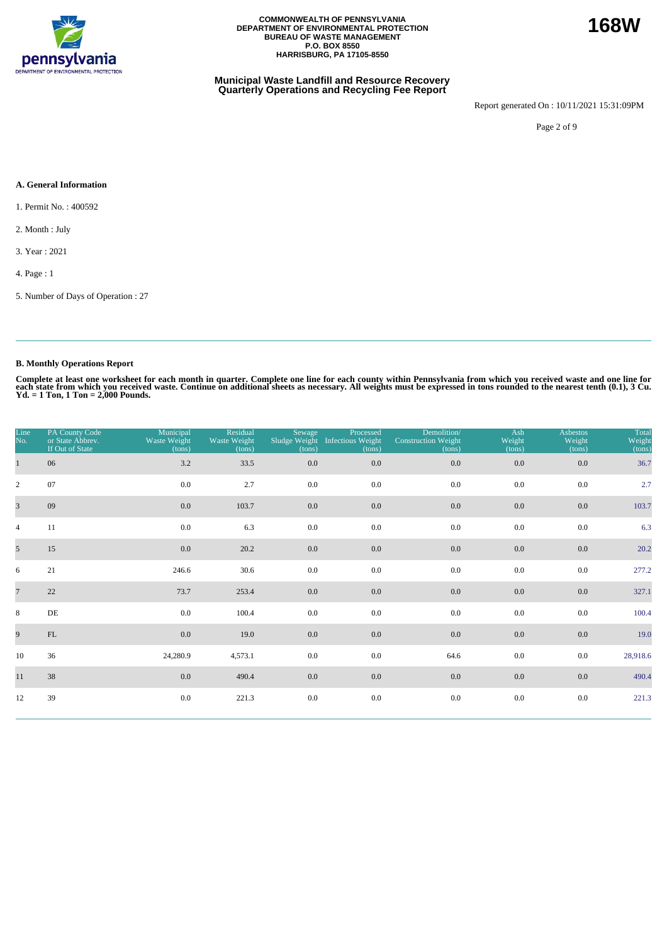

### **Municipal Waste Landfill and Resource Recovery Quarterly Operations and Recycling Fee Report**

Report generated On : 10/11/2021 15:31:09PM

Page 2 of 9

### **A. General Information**

1. Permit No. : 400592

2. Month : July

3. Year : 2021

4. Page : 1

5. Number of Days of Operation : 27

### **B. Monthly Operations Report**

Complete at least one worksheet for each month in quarter. Complete one line for each county within Pennsylvania from which you received waste and one line for<br>each state from which you received waste. Continue on addition

| Line<br>No.    | PA County Code<br>or State Abbrev.<br>If Out of State | Municipal<br>Waste Weight<br>(tons) | Residual<br>Waste Weight<br>(tons) | Sewage<br>Sludge Weight<br>(tons) | Processed<br><b>Infectious Weight</b><br>(tons) | Demolition/<br><b>Construction Weight</b><br>(tons) | Ash<br>Weight<br>(tons) | <b>Asbestos</b><br>Weight<br>(tons) | Total<br>Weight<br>(tons) |
|----------------|-------------------------------------------------------|-------------------------------------|------------------------------------|-----------------------------------|-------------------------------------------------|-----------------------------------------------------|-------------------------|-------------------------------------|---------------------------|
| $\mathbf{1}$   | 06                                                    | 3.2                                 | 33.5                               | 0.0                               | 0.0                                             | 0.0                                                 | $0.0\,$                 | 0.0                                 | 36.7                      |
| $\overline{2}$ | 07                                                    | 0.0                                 | 2.7                                | 0.0                               | 0.0                                             | 0.0                                                 | 0.0                     | 0.0                                 | 2.7                       |
| $\overline{3}$ | 09                                                    | 0.0                                 | 103.7                              | 0.0                               | 0.0                                             | 0.0                                                 | 0.0                     | 0.0                                 | 103.7                     |
| $\overline{4}$ | 11                                                    | $0.0\,$                             | 6.3                                | 0.0                               | 0.0                                             | 0.0                                                 | 0.0                     | 0.0                                 | 6.3                       |
| 5              | 15                                                    | 0.0                                 | 20.2                               | $0.0\,$                           | $0.0\,$                                         | 0.0                                                 | $0.0\,$                 | 0.0                                 | 20.2                      |
| 6              | 21                                                    | 246.6                               | 30.6                               | 0.0                               | 0.0                                             | 0.0                                                 | 0.0                     | 0.0                                 | 277.2                     |
| $\overline{7}$ | 22                                                    | 73.7                                | 253.4                              | $0.0\,$                           | 0.0                                             | $0.0\,$                                             | 0.0                     | 0.0                                 | 327.1                     |
| 8              | $\rm DE$                                              | 0.0                                 | 100.4                              | 0.0                               | 0.0                                             | 0.0                                                 | 0.0                     | 0.0                                 | 100.4                     |
| 9              | $\mathop{\rm FL}\nolimits$                            | 0.0                                 | 19.0                               | 0.0                               | 0.0                                             | 0.0                                                 | 0.0                     | 0.0                                 | 19.0                      |
| 10             | 36                                                    | 24,280.9                            | 4,573.1                            | 0.0                               | 0.0                                             | 64.6                                                | 0.0                     | 0.0                                 | 28,918.6                  |
| 11             | 38                                                    | 0.0                                 | 490.4                              | 0.0                               | 0.0                                             | $0.0\,$                                             | 0.0                     | 0.0                                 | 490.4                     |
| 12             | 39                                                    | 0.0                                 | 221.3                              | $0.0\,$                           | $0.0\,$                                         | 0.0                                                 | 0.0                     | 0.0                                 | 221.3                     |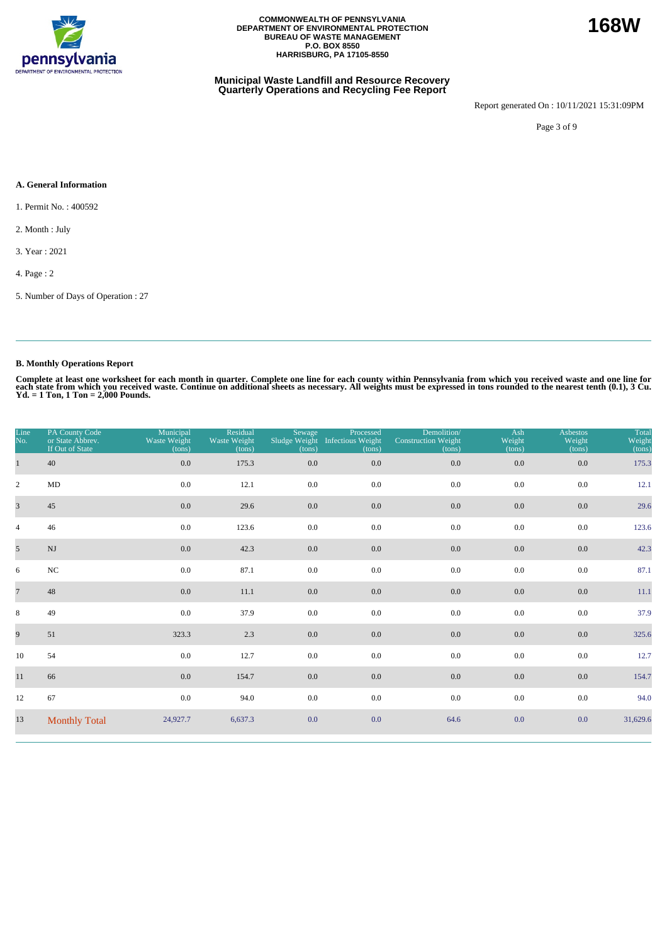

### **Municipal Waste Landfill and Resource Recovery Quarterly Operations and Recycling Fee Report**

Report generated On : 10/11/2021 15:31:09PM

Page 3 of 9

#### **A. General Information**

1. Permit No. : 400592

2. Month : July

3. Year : 2021

4. Page : 2

5. Number of Days of Operation : 27

### **B. Monthly Operations Report**

Complete at least one worksheet for each month in quarter. Complete one line for each county within Pennsylvania from which you received waste and one line for<br>each state from which you received waste. Continue on addition

| Line<br>No.             | PA County Code<br>or State Abbrev.<br>If Out of State | Municipal<br>Waste Weight<br>(tons) | Residual<br>Waste Weight<br>(tons) | Sewage<br>Sludge Weight<br>(tons) | Processed<br><b>Infectious Weight</b><br>(tons) | Demolition/<br><b>Construction Weight</b><br>(tons) | Ash<br>Weight<br>(tons) | <b>Asbestos</b><br>Weight<br>(tons) | Total<br>Weight<br>(tons) |
|-------------------------|-------------------------------------------------------|-------------------------------------|------------------------------------|-----------------------------------|-------------------------------------------------|-----------------------------------------------------|-------------------------|-------------------------------------|---------------------------|
| $\mathbf{1}$            | 40                                                    | $0.0\,$                             | 175.3                              | 0.0                               | 0.0                                             | 0.0                                                 | 0.0                     | 0.0                                 | 175.3                     |
| $\overline{2}$          | $\rm MD$                                              | 0.0                                 | 12.1                               | 0.0                               | 0.0                                             | 0.0                                                 | 0.0                     | 0.0                                 | 12.1                      |
| $\overline{\mathbf{3}}$ | 45                                                    | 0.0                                 | 29.6                               | 0.0                               | 0.0                                             | 0.0                                                 | 0.0                     | 0.0                                 | 29.6                      |
| $\overline{4}$          | 46                                                    | $0.0\,$                             | 123.6                              | 0.0                               | 0.0                                             | 0.0                                                 | 0.0                     | 0.0                                 | 123.6                     |
| $5\overline{)}$         | $_{\rm NJ}$                                           | 0.0                                 | 42.3                               | $0.0\,$                           | 0.0                                             | $0.0\,$                                             | 0.0                     | 0.0                                 | 42.3                      |
| 6                       | $_{\mathrm{NC}}$                                      | 0.0                                 | 87.1                               | 0.0                               | 0.0                                             | 0.0                                                 | 0.0                     | 0.0                                 | 87.1                      |
| $\overline{7}$          | 48                                                    | 0.0                                 | 11.1                               | 0.0                               | 0.0                                             | 0.0                                                 | $0.0\,$                 | 0.0                                 | 11.1                      |
| 8                       | 49                                                    | 0.0                                 | 37.9                               | 0.0                               | 0.0                                             | 0.0                                                 | 0.0                     | 0.0                                 | 37.9                      |
| 9                       | 51                                                    | 323.3                               | 2.3                                | 0.0                               | 0.0                                             | 0.0                                                 | 0.0                     | 0.0                                 | 325.6                     |
| 10                      | 54                                                    | 0.0                                 | 12.7                               | 0.0                               | 0.0                                             | 0.0                                                 | 0.0                     | 0.0                                 | 12.7                      |
| 11                      | 66                                                    | 0.0                                 | 154.7                              | $0.0\,$                           | 0.0                                             | 0.0                                                 | $0.0\,$                 | 0.0                                 | 154.7                     |
| 12                      | 67                                                    | 0.0                                 | 94.0                               | 0.0                               | 0.0                                             | 0.0                                                 | 0.0                     | 0.0                                 | 94.0                      |
| 13                      | <b>Monthly Total</b>                                  | 24,927.7                            | 6,637.3                            | 0.0                               | 0.0                                             | 64.6                                                | 0.0                     | 0.0                                 | 31,629.6                  |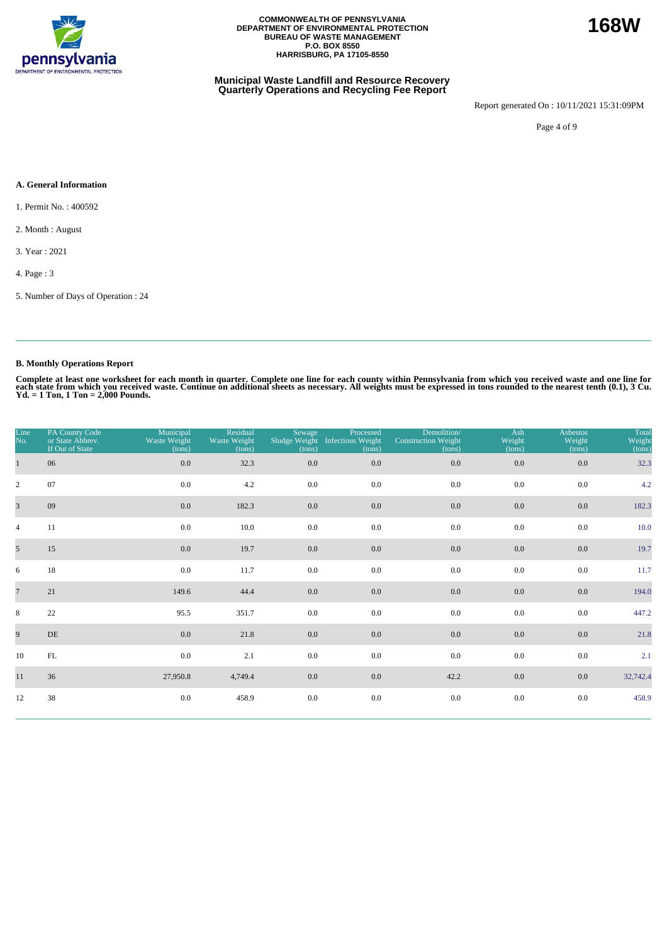

### **Municipal Waste Landfill and Resource Recovery Quarterly Operations and Recycling Fee Report**

Report generated On : 10/11/2021 15:31:09PM

Page 4 of 9

#### **A. General Information**

1. Permit No. : 400592

2. Month : August

3. Year : 2021

4. Page : 3

5. Number of Days of Operation : 24

### **B. Monthly Operations Report**

Complete at least one worksheet for each month in quarter. Complete one line for each county within Pennsylvania from which you received waste and one line for<br>each state from which you received waste. Continue on addition

| Line<br>No.     | PA County Code<br>or State Abbrev.<br>If Out of State | Municipal<br>Waste Weight<br>(tons) | Residual<br>Waste Weight<br>(tons) | Sewage<br>(tons) | Processed<br>Sludge Weight Infectious Weight<br>(tons) | Demolition/<br><b>Construction Weight</b><br>(tons) | Ash<br>Weight<br>(tons) | <b>Asbestos</b><br>Weight<br>(tons) | Total<br>Weight<br>(tons) |
|-----------------|-------------------------------------------------------|-------------------------------------|------------------------------------|------------------|--------------------------------------------------------|-----------------------------------------------------|-------------------------|-------------------------------------|---------------------------|
| $\mathbf{1}$    | 06                                                    | 0.0                                 | 32.3                               | 0.0              | 0.0                                                    | $0.0\,$                                             | $0.0\,$                 | 0.0                                 | 32.3                      |
| $\overline{2}$  | 07                                                    | 0.0                                 | 4.2                                | 0.0              | 0.0                                                    | 0.0                                                 | 0.0                     | 0.0                                 | 4.2                       |
| $\overline{3}$  | 09                                                    | 0.0                                 | 182.3                              | 0.0              | 0.0                                                    | 0.0                                                 | 0.0                     | 0.0                                 | 182.3                     |
| $\overline{4}$  | 11                                                    | 0.0                                 | 10.0                               | 0.0              | 0.0                                                    | 0.0                                                 | 0.0                     | 0.0                                 | 10.0                      |
| 5 <sup>5</sup>  | 15                                                    | 0.0                                 | 19.7                               | 0.0              | 0.0                                                    | 0.0                                                 | $0.0\,$                 | 0.0                                 | 19.7                      |
| 6               | 18                                                    | 0.0                                 | 11.7                               | 0.0              | 0.0                                                    | 0.0                                                 | 0.0                     | 0.0                                 | 11.7                      |
| $7\phantom{.0}$ | 21                                                    | 149.6                               | 44.4                               | $0.0\,$          | 0.0                                                    | $0.0\,$                                             | 0.0                     | 0.0                                 | 194.0                     |
| 8               | 22                                                    | 95.5                                | 351.7                              | 0.0              | 0.0                                                    | 0.0                                                 | 0.0                     | 0.0                                 | 447.2                     |
| 9               | DE                                                    | 0.0                                 | 21.8                               | 0.0              | 0.0                                                    | $0.0\,$                                             | 0.0                     | 0.0                                 | 21.8                      |
| 10              | $\mathop{\rm FL}\nolimits$                            | 0.0                                 | 2.1                                | 0.0              | 0.0                                                    | 0.0                                                 | $0.0\,$                 | 0.0                                 | 2.1                       |
| 11              | 36                                                    | 27,950.8                            | 4,749.4                            | 0.0              | 0.0                                                    | 42.2                                                | $0.0\,$                 | 0.0                                 | 32,742.4                  |
| 12              | 38                                                    | 0.0                                 | 458.9                              | 0.0              | $0.0\,$                                                | 0.0                                                 | 0.0                     | 0.0                                 | 458.9                     |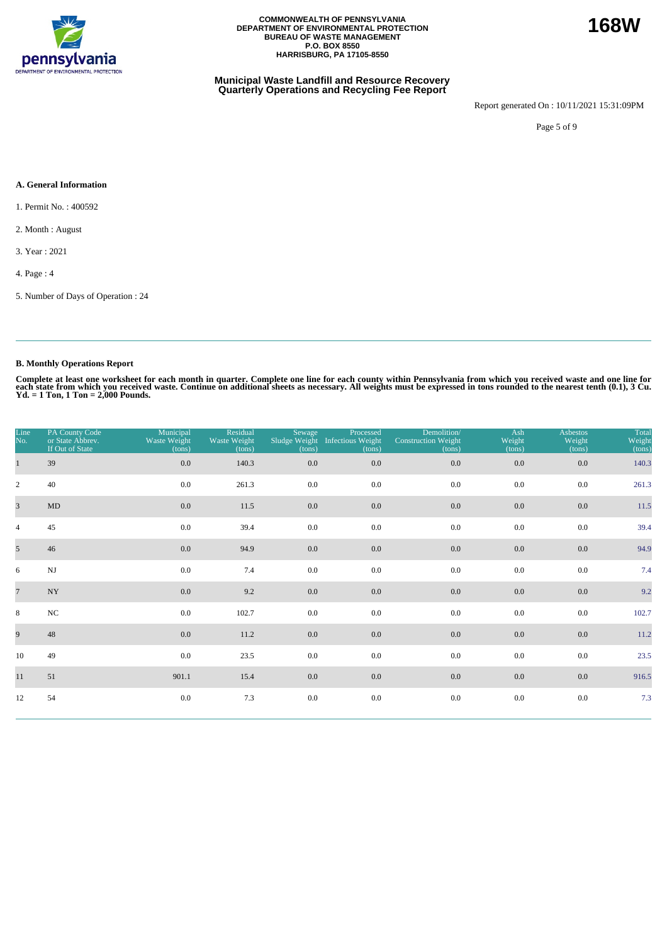

### **Municipal Waste Landfill and Resource Recovery Quarterly Operations and Recycling Fee Report**

Report generated On : 10/11/2021 15:31:09PM

Page 5 of 9

### **A. General Information**

1. Permit No. : 400592

2. Month : August

3. Year : 2021

4. Page : 4

5. Number of Days of Operation : 24

### **B. Monthly Operations Report**

Complete at least one worksheet for each month in quarter. Complete one line for each county within Pennsylvania from which you received waste and one line for<br>each state from which you received waste. Continue on addition

| Line<br>No.     | PA County Code<br>or State Abbrev.<br>If Out of State | Municipal<br>Waste Weight<br>(tons) | Residual<br>Waste Weight<br>(tons) | Sewage<br>(tons) | Processed<br>Sludge Weight Infectious Weight<br>(tons) | Demolition/<br><b>Construction Weight</b><br>(tons) | Ash<br>Weight<br>(tons) | <b>Asbestos</b><br>Weight<br>(tons) | Total<br>Weight<br>(tons) |
|-----------------|-------------------------------------------------------|-------------------------------------|------------------------------------|------------------|--------------------------------------------------------|-----------------------------------------------------|-------------------------|-------------------------------------|---------------------------|
| $\mathbf{1}$    | 39                                                    | $0.0\,$                             | 140.3                              | $0.0\,$          | 0.0                                                    | $0.0\,$                                             | 0.0                     | $0.0\,$                             | 140.3                     |
| $\overline{2}$  | 40                                                    | 0.0                                 | 261.3                              | 0.0              | 0.0                                                    | 0.0                                                 | 0.0                     | 0.0                                 | 261.3                     |
| $\overline{3}$  | $\mbox{MD}$                                           | 0.0                                 | 11.5                               | 0.0              | 0.0                                                    | 0.0                                                 | 0.0                     | 0.0                                 | 11.5                      |
| $\overline{4}$  | 45                                                    | 0.0                                 | 39.4                               | 0.0              | 0.0                                                    | 0.0                                                 | 0.0                     | 0.0                                 | 39.4                      |
| 5 <sup>5</sup>  | 46                                                    | 0.0                                 | 94.9                               | $0.0\,$          | 0.0                                                    | 0.0                                                 | 0.0                     | 0.0                                 | 94.9                      |
| 6               | $\mathbf{N}\mathbf{J}$                                | 0.0                                 | 7.4                                | 0.0              | 0.0                                                    | 0.0                                                 | 0.0                     | 0.0                                 | 7.4                       |
| $7\phantom{.0}$ | $\ensuremath{\text{NY}}$                              | $0.0\,$                             | 9.2                                | $0.0\,$          | 0.0                                                    | $0.0\,$                                             | 0.0                     | $0.0\,$                             | 9.2                       |
| 8               | $_{\mathrm{NC}}$                                      | 0.0                                 | 102.7                              | 0.0              | 0.0                                                    | 0.0                                                 | 0.0                     | 0.0                                 | 102.7                     |
| 9               | 48                                                    | 0.0                                 | 11.2                               | $0.0\,$          | 0.0                                                    | 0.0                                                 | 0.0                     | 0.0                                 | 11.2                      |
| 10              | 49                                                    | 0.0                                 | 23.5                               | 0.0              | 0.0                                                    | 0.0                                                 | 0.0                     | 0.0                                 | 23.5                      |
| 11              | 51                                                    | 901.1                               | 15.4                               | $0.0\,$          | 0.0                                                    | $0.0\,$                                             | 0.0                     | 0.0                                 | 916.5                     |
| 12              | 54                                                    | 0.0                                 | 7.3                                | 0.0              | 0.0                                                    | $0.0\,$                                             | 0.0                     | $0.0\,$                             | 7.3                       |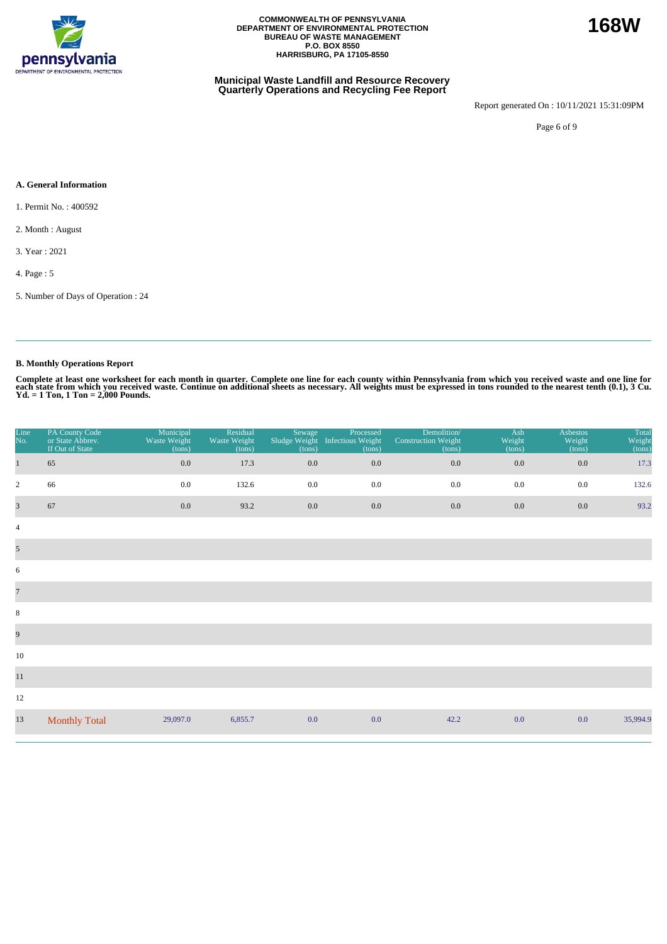

### **Municipal Waste Landfill and Resource Recovery Quarterly Operations and Recycling Fee Report**

Report generated On : 10/11/2021 15:31:09PM

Page 6 of 9

### **A. General Information**

1. Permit No. : 400592

2. Month : August

3. Year : 2021

4. Page : 5

5. Number of Days of Operation : 24

### **B. Monthly Operations Report**

Complete at least one worksheet for each month in quarter. Complete one line for each county within Pennsylvania from which you received waste and one line for<br>each state from which you received waste. Continue on addition

| Line<br>No.    | PA County Code<br>or State Abbrev.<br>If Out of State | Municipal<br>Waste Weight<br>(tons) | Residual<br>Waste Weight<br>(tons) | Sewage<br>Sludge Weight<br>(tons) | Processed<br><b>Infectious Weight</b><br>(tons) | Demolition/<br><b>Construction Weight</b><br>(tons) | Ash<br>Weight<br>(tons) | <b>Asbestos</b><br>Weight<br>(tons) | <b>Total</b><br>Weight<br>(tons) |
|----------------|-------------------------------------------------------|-------------------------------------|------------------------------------|-----------------------------------|-------------------------------------------------|-----------------------------------------------------|-------------------------|-------------------------------------|----------------------------------|
| $\mathbf{1}$   | 65                                                    | 0.0                                 | 17.3                               | 0.0                               | $0.0\,$                                         | 0.0                                                 | $0.0\,$                 | 0.0                                 | 17.3                             |
| $\overline{2}$ | 66                                                    | 0.0                                 | 132.6                              | 0.0                               | 0.0                                             | 0.0                                                 | 0.0                     | 0.0                                 | 132.6                            |
| $\overline{3}$ | 67                                                    | 0.0                                 | 93.2                               | 0.0                               | $0.0\,$                                         | 0.0                                                 | 0.0                     | 0.0                                 | 93.2                             |
| $\overline{4}$ |                                                       |                                     |                                    |                                   |                                                 |                                                     |                         |                                     |                                  |
| $\mathfrak{S}$ |                                                       |                                     |                                    |                                   |                                                 |                                                     |                         |                                     |                                  |
| 6              |                                                       |                                     |                                    |                                   |                                                 |                                                     |                         |                                     |                                  |
| $\overline{7}$ |                                                       |                                     |                                    |                                   |                                                 |                                                     |                         |                                     |                                  |
| $\,8\,$        |                                                       |                                     |                                    |                                   |                                                 |                                                     |                         |                                     |                                  |
| 9              |                                                       |                                     |                                    |                                   |                                                 |                                                     |                         |                                     |                                  |
| 10             |                                                       |                                     |                                    |                                   |                                                 |                                                     |                         |                                     |                                  |
| $11\,$         |                                                       |                                     |                                    |                                   |                                                 |                                                     |                         |                                     |                                  |
| 12             |                                                       |                                     |                                    |                                   |                                                 |                                                     |                         |                                     |                                  |
| 13             | <b>Monthly Total</b>                                  | 29,097.0                            | 6,855.7                            | 0.0                               | 0.0                                             | 42.2                                                | 0.0                     | 0.0                                 | 35,994.9                         |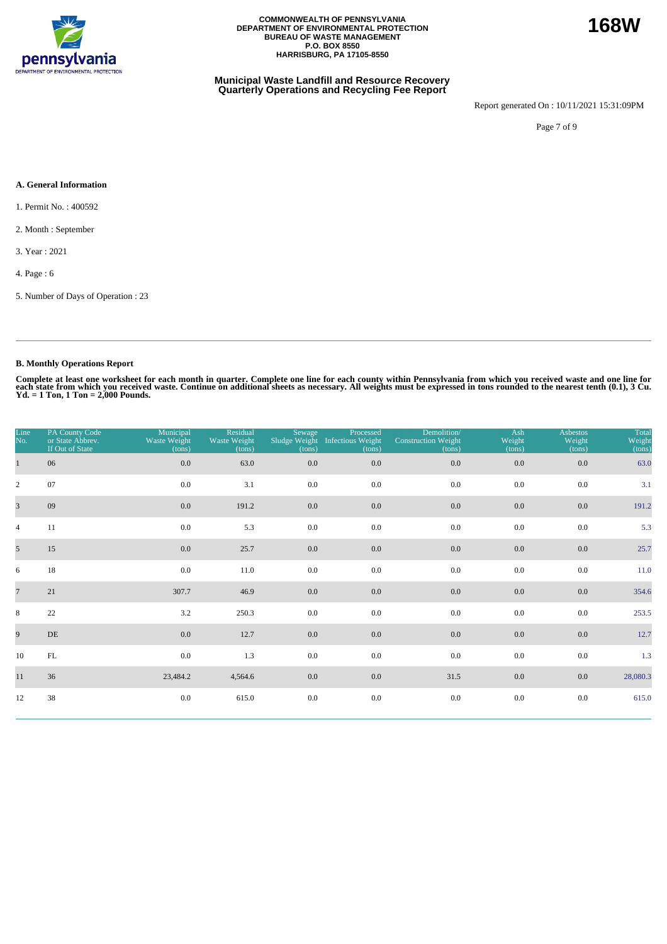

### **Municipal Waste Landfill and Resource Recovery Quarterly Operations and Recycling Fee Report**

Report generated On : 10/11/2021 15:31:09PM

Page 7 of 9

### **A. General Information**

- 1. Permit No. : 400592
- 2. Month : September
- 3. Year : 2021
- 4. Page : 6
- 5. Number of Days of Operation : 23

### **B. Monthly Operations Report**

Complete at least one worksheet for each month in quarter. Complete one line for each county within Pennsylvania from which you received waste and one line for<br>each state from which you received waste. Continue on addition

| Line<br>No.     | PA County Code<br>or State Abbrev.<br>If Out of State | Municipal<br>Waste Weight<br>(tons) | Residual<br>Waste Weight<br>(tons) | Sewage<br>(tons) | Processed<br>Sludge Weight Infectious Weight<br>(tons) | Demolition/<br><b>Construction Weight</b><br>(tons) | Ash<br>Weight<br>(tons) | <b>Asbestos</b><br>Weight<br>(tons) | Total<br>Weight<br>(tons) |
|-----------------|-------------------------------------------------------|-------------------------------------|------------------------------------|------------------|--------------------------------------------------------|-----------------------------------------------------|-------------------------|-------------------------------------|---------------------------|
| $\mathbf{1}$    | 06                                                    | 0.0                                 | 63.0                               | 0.0              | 0.0                                                    | 0.0                                                 | 0.0                     | 0.0                                 | 63.0                      |
| $\overline{2}$  | 07                                                    | 0.0                                 | 3.1                                | 0.0              | 0.0                                                    | 0.0                                                 | 0.0                     | 0.0                                 | 3.1                       |
| $\overline{3}$  | 09                                                    | 0.0                                 | 191.2                              | 0.0              | 0.0                                                    | 0.0                                                 | 0.0                     | 0.0                                 | 191.2                     |
| $\overline{4}$  | 11                                                    | 0.0                                 | 5.3                                | 0.0              | 0.0                                                    | 0.0                                                 | 0.0                     | 0.0                                 | 5.3                       |
| 5 <sup>5</sup>  | 15                                                    | 0.0                                 | 25.7                               | 0.0              | 0.0                                                    | 0.0                                                 | $0.0\,$                 | 0.0                                 | 25.7                      |
| 6               | 18                                                    | 0.0                                 | 11.0                               | 0.0              | 0.0                                                    | 0.0                                                 | 0.0                     | 0.0                                 | 11.0                      |
| $7\phantom{.0}$ | 21                                                    | 307.7                               | 46.9                               | 0.0              | 0.0                                                    | 0.0                                                 | 0.0                     | 0.0                                 | 354.6                     |
| 8               | 22                                                    | 3.2                                 | 250.3                              | 0.0              | 0.0                                                    | 0.0                                                 | 0.0                     | 0.0                                 | 253.5                     |
| 9               | DE                                                    | 0.0                                 | 12.7                               | 0.0              | 0.0                                                    | 0.0                                                 | 0.0                     | 0.0                                 | 12.7                      |
| 10              | $\mathop{\rm FL}\nolimits$                            | 0.0                                 | 1.3                                | 0.0              | 0.0                                                    | 0.0                                                 | $0.0\,$                 | 0.0                                 | 1.3                       |
| 11              | 36                                                    | 23,484.2                            | 4,564.6                            | 0.0              | 0.0                                                    | 31.5                                                | 0.0                     | 0.0                                 | 28,080.3                  |
| 12              | 38                                                    | 0.0                                 | 615.0                              | $0.0\,$          | $0.0\,$                                                | $0.0\,$                                             | 0.0                     | 0.0                                 | 615.0                     |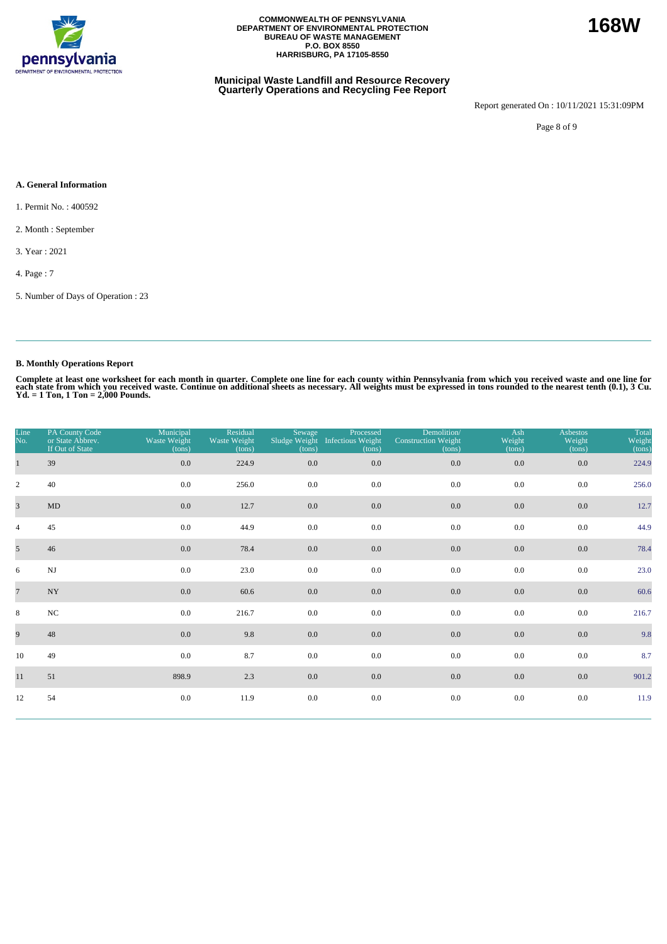

### **Municipal Waste Landfill and Resource Recovery Quarterly Operations and Recycling Fee Report**

Report generated On : 10/11/2021 15:31:09PM

**168W**

Page 8 of 9

#### **A. General Information**

- 1. Permit No. : 400592
- 2. Month : September
- 3. Year : 2021
- 4. Page : 7
- 5. Number of Days of Operation : 23

### **B. Monthly Operations Report**

Complete at least one worksheet for each month in quarter. Complete one line for each county within Pennsylvania from which you received waste and one line for<br>each state from which you received waste. Continue on addition

| Line<br>No.    | PA County Code<br>or State Abbrev.<br>If Out of State | Municipal<br>Waste Weight<br>(tons) | Residual<br>Waste Weight<br>(tons) | Sewage<br>(tons) | Processed<br>Sludge Weight Infectious Weight<br>(tons) | Demolition/<br><b>Construction Weight</b><br>(tons) | Ash<br>Weight<br>(tons) | <b>Asbestos</b><br>Weight<br>(tons) | Total<br>Weight<br>(tons) |
|----------------|-------------------------------------------------------|-------------------------------------|------------------------------------|------------------|--------------------------------------------------------|-----------------------------------------------------|-------------------------|-------------------------------------|---------------------------|
|                | 39                                                    | 0.0                                 | 224.9                              | 0.0              | $0.0\,$                                                | 0.0                                                 | 0.0                     | $0.0\,$                             | 224.9                     |
| $\overline{2}$ | 40                                                    | 0.0                                 | 256.0                              | 0.0              | 0.0                                                    | 0.0                                                 | 0.0                     | 0.0                                 | 256.0                     |
| $\overline{3}$ | MD                                                    | 0.0                                 | 12.7                               | 0.0              | 0.0                                                    | 0.0                                                 | 0.0                     | 0.0                                 | 12.7                      |
| $\overline{4}$ | 45                                                    | 0.0                                 | 44.9                               | 0.0              | 0.0                                                    | 0.0                                                 | 0.0                     | 0.0                                 | 44.9                      |
| 5 <sup>5</sup> | 46                                                    | 0.0                                 | 78.4                               | $0.0\,$          | $0.0\,$                                                | $0.0\,$                                             | 0.0                     | $0.0\,$                             | 78.4                      |
| 6              | $\mathbf{N}\mathbf{J}$                                | 0.0                                 | 23.0                               | 0.0              | 0.0                                                    | 0.0                                                 | 0.0                     | 0.0                                 | 23.0                      |
| $\overline{7}$ | $\ensuremath{\text{NY}}$                              | $0.0\,$                             | 60.6                               | 0.0              | $0.0\,$                                                | 0.0                                                 | 0.0                     | $0.0\,$                             | 60.6                      |
| 8              | NC                                                    | 0.0                                 | 216.7                              | 0.0              | 0.0                                                    | 0.0                                                 | 0.0                     | 0.0                                 | 216.7                     |
| 9              | 48                                                    | 0.0                                 | 9.8                                | 0.0              | 0.0                                                    | 0.0                                                 | 0.0                     | 0.0                                 | 9.8                       |
| 10             | 49                                                    | 0.0                                 | 8.7                                | 0.0              | 0.0                                                    | 0.0                                                 | 0.0                     | 0.0                                 | 8.7                       |
| 11             | 51                                                    | 898.9                               | 2.3                                | 0.0              | $0.0\,$                                                | 0.0                                                 | 0.0                     | 0.0                                 | 901.2                     |
| 12             | 54                                                    | $0.0\,$                             | 11.9                               | $0.0\,$          | 0.0                                                    | 0.0                                                 | 0.0                     | $0.0\,$                             | 11.9                      |